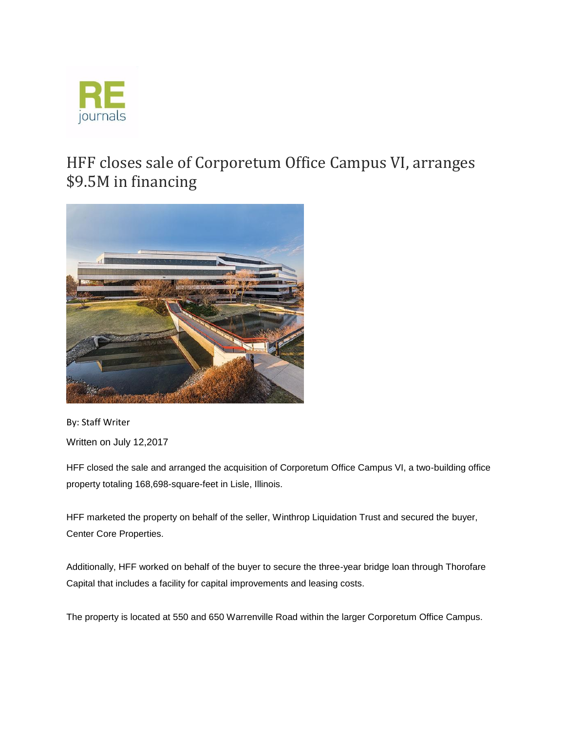

## HFF closes sale of Corporetum Office Campus VI, arranges \$9.5M in financing



By: Staff Writer Written on July 12,2017

HFF closed the sale and arranged the acquisition of Corporetum Office Campus VI, a two-building office property totaling 168,698-square-feet in Lisle, Illinois.

HFF marketed the property on behalf of the seller, Winthrop Liquidation Trust and secured the buyer, Center Core Properties.

Additionally, HFF worked on behalf of the buyer to secure the three-year bridge loan through Thorofare Capital that includes a facility for capital improvements and leasing costs.

The property is located at 550 and 650 Warrenville Road within the larger Corporetum Office Campus.